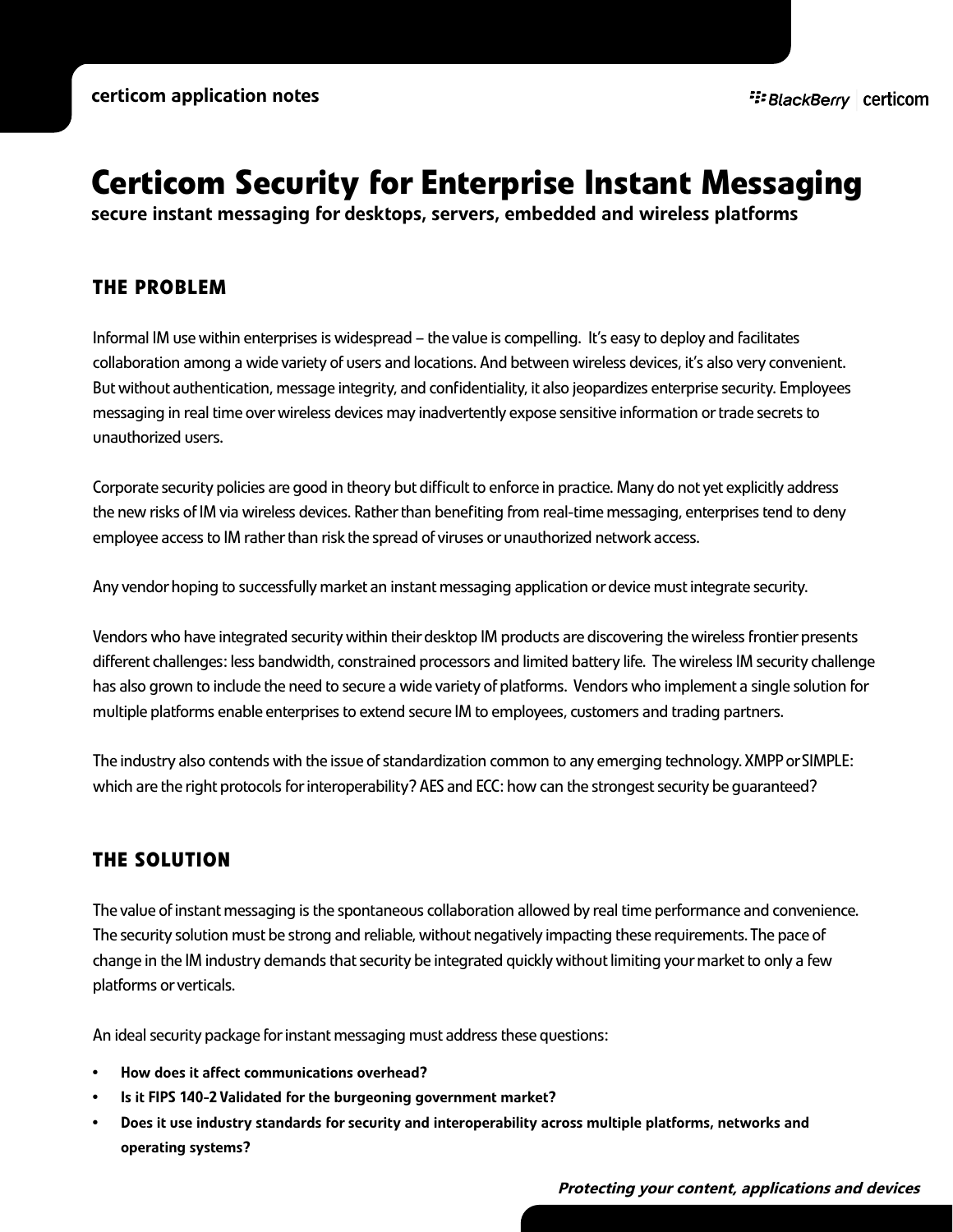# **Certicom Security for Enterprise Instant Messaging**

secure instant messaging for desktops, servers, embedded and wireless platforms

## **THE PROBLEM**

Informal IM use within enterprises is widespread – the value is compelling. It's easy to deploy and facilitates collaboration among a wide variety of users and locations. And between wireless devices, it's also very convenient. But without authentication, message integrity, and confidentiality, it also jeopardizes enterprise security. Employees messaging in real time over wireless devices may inadvertently expose sensitive information or trade secrets to unauthorized users.

Corporate security policies are good in theory but difficult to enforce in practice. Many do not yet explicitly address the new risks of IM via wireless devices. Rather than benefiting from real-time messaging, enterprises tend to deny employee access to IM rather than risk the spread of viruses or unauthorized network access.

Any vendor hoping to successfully market an instant messaging application or device must integrate security.

Vendors who have integrated security within their desktop IM products are discovering the wireless frontier presents different challenges: less bandwidth, constrained processors and limited battery life. The wireless IM security challenge has also grown to include the need to secure a wide variety of platforms. Vendors who implement a single solution for multiple platforms enable enterprises to extend secure IM to employees, customers and trading partners.

The industry also contends with the issue of standardization common to any emerging technology. XMPP or SIMPLE: which are the right protocols for interoperability? AES and ECC: how can the strongest security be guaranteed?

# **THE SOLUTION**

The value of instant messaging is the spontaneous collaboration allowed by real time performance and convenience. The security solution must be strong and reliable, without negatively impacting these requirements. The pace of change in the IM industry demands that security be integrated quickly without limiting your market to only a few platforms or verticals.

An ideal security package for instant messaging must address these questions:

- How does it affect communications overhead?
- Is it FIPS 140-2 Validated for the burgeoning government market?
- Does it use industry standards for security and interoperability across multiple platforms, networks and operating systems?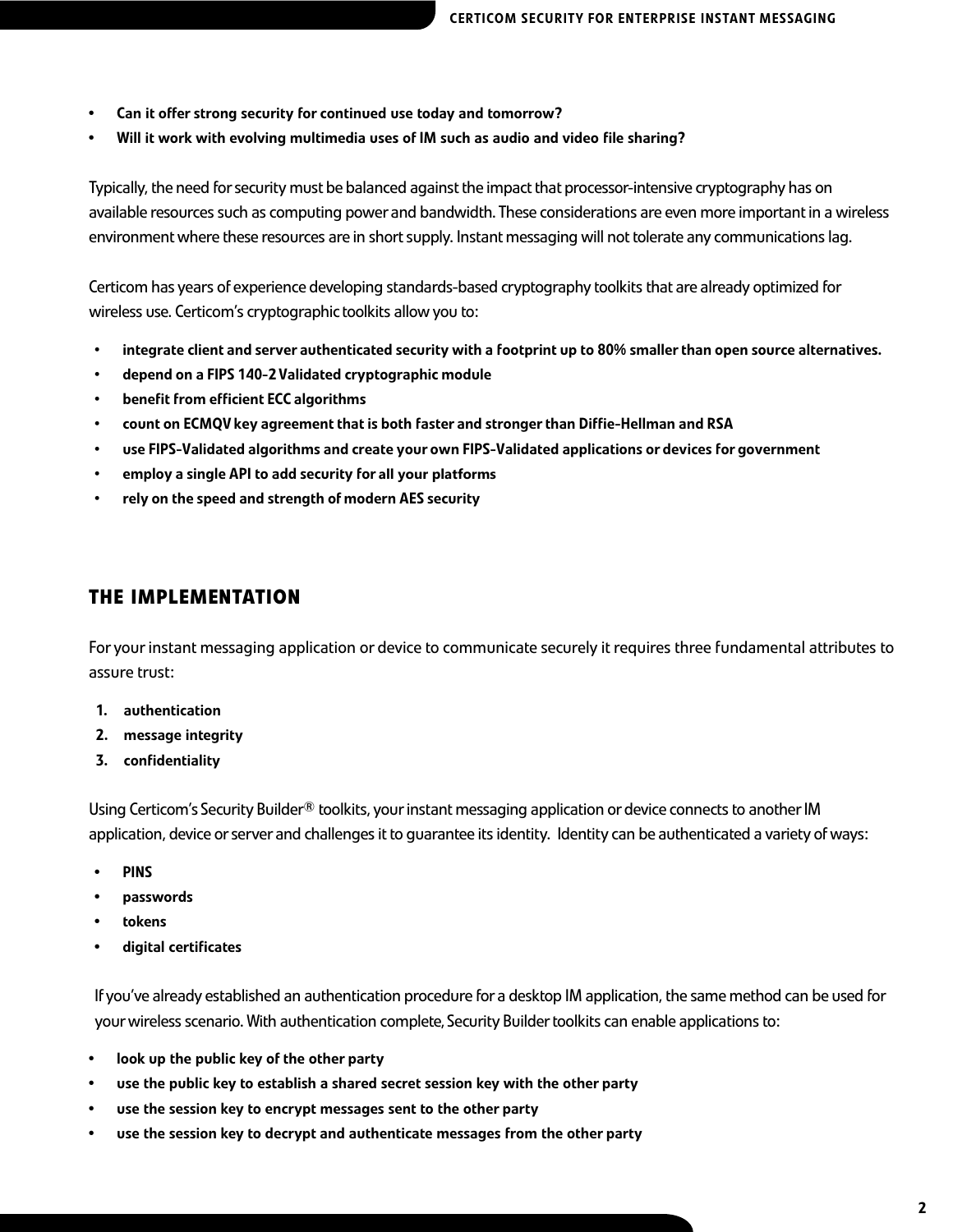- Can it offer strong security for continued use today and tomorrow?
- Will it work with evolving multimedia uses of IM such as audio and video file sharing?

Typically, the need for security must be balanced against the impact that processor-intensive cryptography has on available resources such as computing power and bandwidth. These considerations are even more important in a wireless environment where these resources are in short supply. Instant messaging will not tolerate any communications lag.

Certicom has years of experience developing standards-based cryptography toolkits that are already optimized for wireless use. Certicom's cryptographic toolkits allow you to:

- integrate client and server authenticated security with a footprint up to 80% smallerthan open source alternatives.
- depend on a FIPS 140-2Validated cryptographic module
- benefit from efficient ECC algorithms
- count on ECMQV key agreement that is both faster and strongerthan Diffie-Hellman and RSA
- use FIPS-Validated algorithms and create your own FIPS-Validated applications or devices for government
- employ a single API to add security for **all your platforms**
- rely on the speed and strength of modern AES security

### **THE IMPLEMENTATION**

For your instant messaging application or device to communicate securely it requires three fundamental attributes to assure trust:

- 1. authentication
- 2. message integrity
- 3. confidentiality

Using Certicom's Security Builder<sup>®</sup> toolkits, your instant messaging application or device connects to another IM application, device or server and challenges it to guarantee its identity. Identity can be authenticated a variety of ways:

- PINS
- passwords
- **tokens**
- digital certificates

If you've already established an authentication procedure for a desktop IM application, the same method can be used for your wireless scenario. With authentication complete, Security Builder toolkits can enable applications to:

- look up the public key of the other party
- use the public key to establish a shared secret session key with the other party
- use the session key to encrypt messages sent to the other party
- use the session key to decrypt and authenticate messages from the other party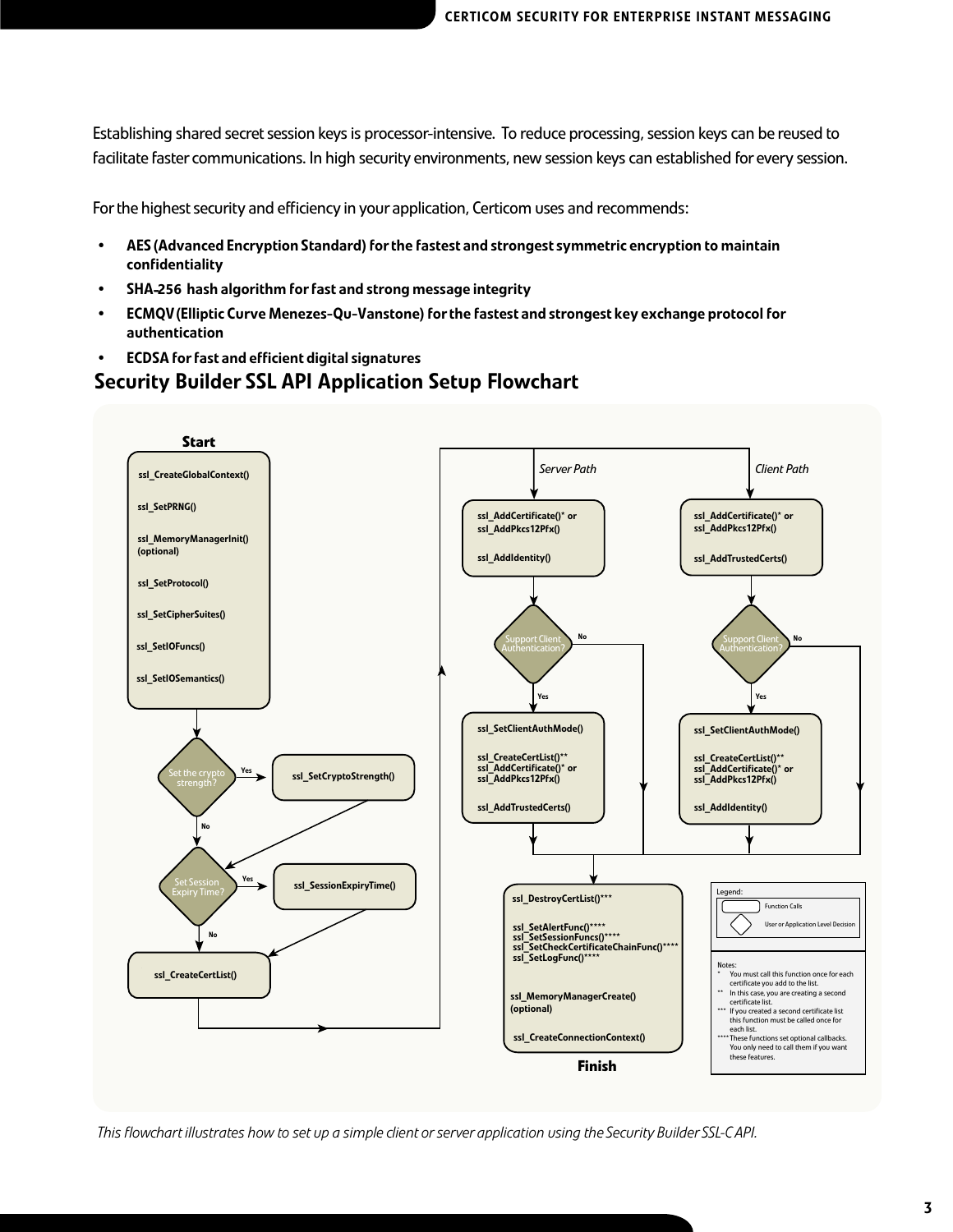Establishing shared secret session keys is processor-intensive. To reduce processing, session keys can be reused to facilitate faster communications. In high security environments, new session keys can established for every session.

For the highest security and efficiency in your application, Certicom uses and recommends:

- AES (Advanced Encryption Standard) forthe fastest and strongest symmetric encryption to maintain confidentiality
- SHA-**256** hash algorithm forfast and strong message integrity
- ECMQV(Elliptic Curve Menezes-Qu-Vanstone) forthe fastest and strongest key exchange protocol for authentication
- ECDSA forfast and efficient digital signatures

## Security Builder SSL API Application Setup Flowchart



*This flowchart illustrates how to set up a simple client or server application using the Security Builder SSL-C API.*